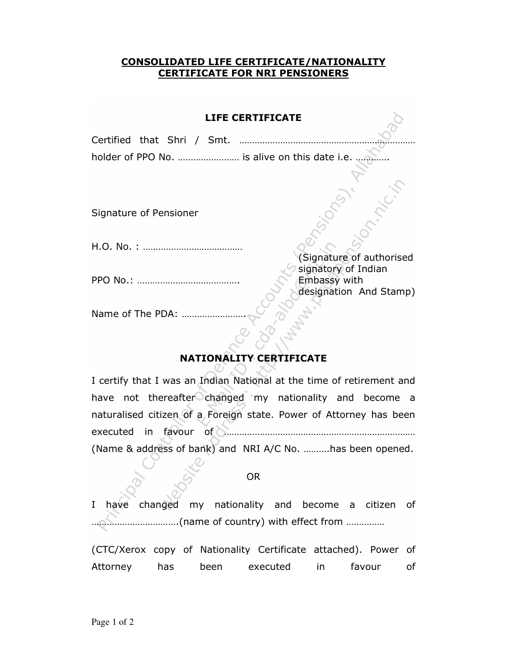## CONSOLIDATED LIFE CERTIFICATE/NATIONALITY CERTIFICATE FOR NRI PENSIONERS

## LIFE CERTIFICATE

| Certified that Shri / Smt.                           |                                               |
|------------------------------------------------------|-----------------------------------------------|
|                                                      | holder of PPO No.  is alive on this date i.e. |
|                                                      |                                               |
|                                                      |                                               |
| Signature of Pensioner                               |                                               |
|                                                      |                                               |
| $H.O. No. : … … … … … … … … … … … … … … … … … … … …$ |                                               |

H.O. No. : …………………………………

PPO No.: ………………………………….

(Signature of authorised signatory of Indian Embassy with designation And Stamp)

Name of The PDA: …………………….

## NATIONALITY CERTIFICATE

I certify that I was an Indian National at the time of retirement and have not thereafter changed my nationality and become a naturalised citizen of a Foreign state. Power of Attorney has been executed in favour of ………………………………………………………………… (Name & address of bank) and NRI A/C No. ……….has been opened.

OR

I have changed my nationality and become a citizen of …………………………….(name of country) with effect from ……………

(CTC/Xerox copy of Nationality Certificate attached). Power of Attorney has been executed in favour of